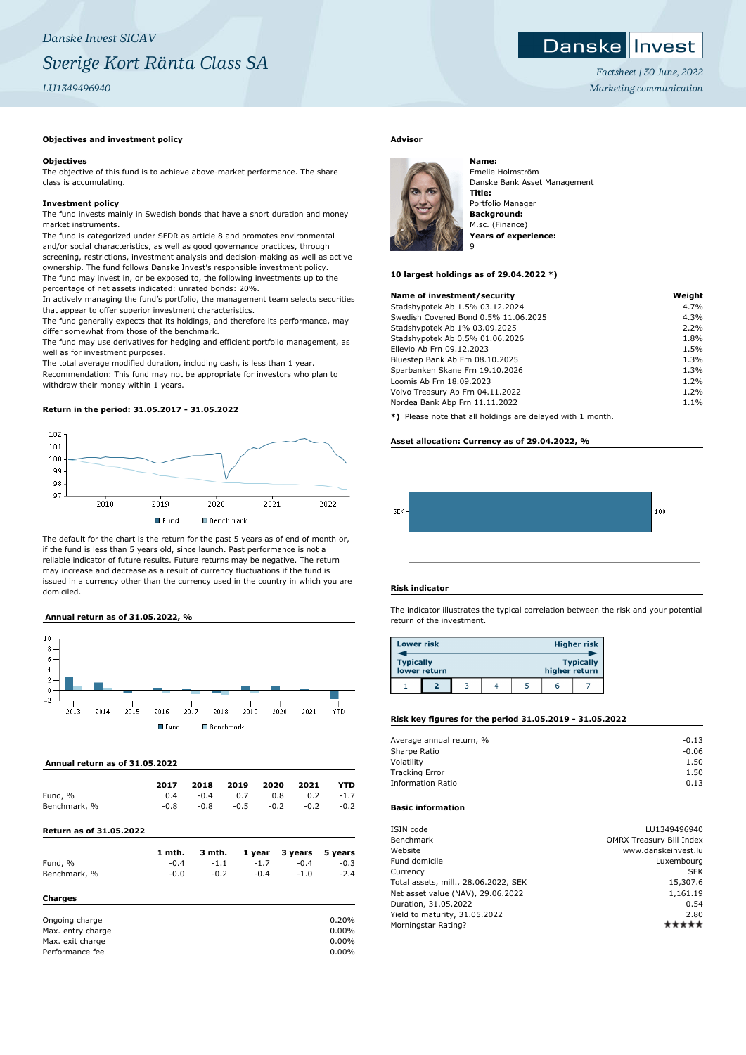## *Factsheet | 30 June, 2022*

## *Marketing communication*

Danske Invest

## **Objectives and investment policy**

#### **Objectives**

The objective of this fund is to achieve above-market performance. The share class is accumulating.

#### **Investment policy**

The fund invests mainly in Swedish bonds that have a short duration and money market instruments.

The fund is categorized under SFDR as article 8 and promotes environmental and/or social characteristics, as well as good governance practices, through screening, restrictions, investment analysis and decision-making as well as active ownership. The fund follows Danske Invest's responsible investment policy. The fund may invest in, or be exposed to, the following investments up to the percentage of net assets indicated: unrated bonds: 20%.

In actively managing the fund's portfolio, the management team selects securities that appear to offer superior investment characteristics.

The fund generally expects that its holdings, and therefore its performance, may differ somewhat from those of the benchmark.

The fund may use derivatives for hedging and efficient portfolio management, as well as for investment purposes.

The total average modified duration, including cash, is less than 1 year. Recommendation: This fund may not be appropriate for investors who plan to withdraw their money within 1 years.

## **Return in the period: 31.05.2017 - 31.05.2022**



The default for the chart is the return for the past 5 years as of end of month or, if the fund is less than 5 years old, since launch. Past performance is not a reliable indicator of future results. Future returns may be negative. The return may increase and decrease as a result of currency fluctuations if the fund is issued in a currency other than the currency used in the country in which you are domiciled.

#### **Annual return as of 31.05.2022, %**



## **Annual return as of 31.05.2022**

|                                | 2017   | 2018   | 2019   | 2020   | 2021    | YTD     |
|--------------------------------|--------|--------|--------|--------|---------|---------|
| Fund, %                        | 0.4    | $-0.4$ | 0.7    | 0.8    | 0.2     | $-1.7$  |
| Benchmark, %                   | $-0.8$ | $-0.8$ | $-0.5$ | $-0.2$ | $-0.2$  | $-0.2$  |
| <b>Return as of 31.05.2022</b> |        |        |        |        |         |         |
|                                | 1 mth. | 3 mth. |        | 1 year | 3 years | 5 years |
| Fund, %                        | $-0.4$ | $-1.1$ |        | $-1.7$ | $-0.4$  | $-0.3$  |
| Benchmark, %                   | $-0.0$ | $-0.2$ |        | $-0.4$ | $-1.0$  | $-2.4$  |
| Charges                        |        |        |        |        |         |         |

| 0.20%    |
|----------|
| $0.00\%$ |
| $0.00\%$ |
| $0.00\%$ |
|          |

## **Advisor**



Emelie Holmström Danske Bank Asset Management **Title:** Portfolio Manager **Background:** M.sc. (Finance) **Years of experience:**

### **10 largest holdings as of 29.04.2022 \*)**

| Name of investment/security                                | Weight |
|------------------------------------------------------------|--------|
| Stadshypotek Ab 1.5% 03.12.2024                            | 4.7%   |
| Swedish Covered Bond 0.5% 11.06.2025                       | 4.3%   |
| Stadshypotek Ab 1% 03.09.2025                              | 2.2%   |
| Stadshypotek Ab 0.5% 01.06.2026                            | 1.8%   |
| Ellevio Ab Frn 09.12.2023                                  | 1.5%   |
| Bluestep Bank Ab Frn 08.10.2025                            | 1.3%   |
| Sparbanken Skane Frn 19.10.2026                            | 1.3%   |
| Loomis Ab Frn 18.09.2023                                   | 1.2%   |
| Volvo Treasury Ab Frn 04.11.2022                           | 1.2%   |
| Nordea Bank Abp Frn 11.11.2022                             | 1.1%   |
| *) Please note that all holdings are delayed with 1 month. |        |

## **Asset allocation: Currency as of 29.04.2022, %**



### **Risk indicator**

The indicator illustrates the typical correlation between the risk and your potential return of the investment.

| <b>Lower risk</b> |              |  |               | <b>Higher risk</b> |
|-------------------|--------------|--|---------------|--------------------|
| <b>Typically</b>  | lower return |  | higher return | <b>Typically</b>   |
|                   |              |  | h             |                    |

## **Risk key figures for the period 31.05.2019 - 31.05.2022**

| Average annual return, % | $-0.13$ |
|--------------------------|---------|
| Sharpe Ratio             | $-0.06$ |
| Volatility               | 1.50    |
| <b>Tracking Error</b>    | 1.50    |
| <b>Information Ratio</b> | 0.13    |
|                          |         |

## **Basic information**

| ISIN code                            | LU1349496940                    |
|--------------------------------------|---------------------------------|
| <b>Benchmark</b>                     | <b>OMRX Treasury Bill Index</b> |
| Website                              | www.danskeinvest.lu             |
| Fund domicile                        | Luxembourg                      |
| Currency                             | <b>SEK</b>                      |
| Total assets, mill., 28.06.2022, SEK | 15,307.6                        |
| Net asset value (NAV), 29.06.2022    | 1,161.19                        |
| Duration, 31.05.2022                 | 0.54                            |
| Yield to maturity, 31.05.2022        | 2.80                            |
| Morningstar Rating?                  |                                 |